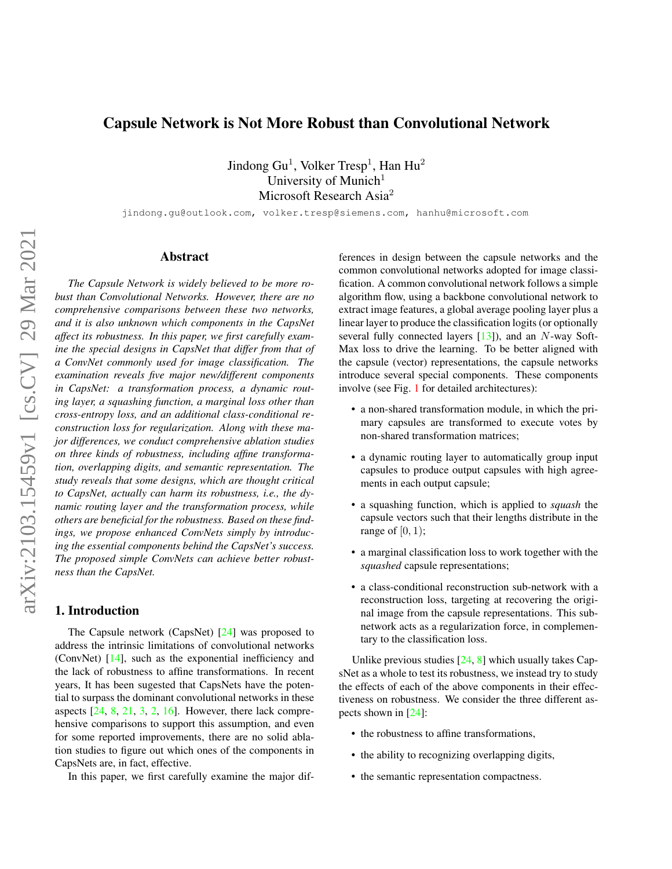# Capsule Network is Not More Robust than Convolutional Network

Jindong Gu $^1$ , Volker Tresp $^1$ , Han Hu $^2$ University of Munich $1$ Microsoft Research Asia<sup>2</sup>

jindong.gu@outlook.com, volker.tresp@siemens.com, hanhu@microsoft.com

#### Abstract

*The Capsule Network is widely believed to be more robust than Convolutional Networks. However, there are no comprehensive comparisons between these two networks, and it is also unknown which components in the CapsNet affect its robustness. In this paper, we first carefully examine the special designs in CapsNet that differ from that of a ConvNet commonly used for image classification. The examination reveals five major new/different components in CapsNet: a transformation process, a dynamic routing layer, a squashing function, a marginal loss other than cross-entropy loss, and an additional class-conditional reconstruction loss for regularization. Along with these major differences, we conduct comprehensive ablation studies on three kinds of robustness, including affine transformation, overlapping digits, and semantic representation. The study reveals that some designs, which are thought critical to CapsNet, actually can harm its robustness, i.e., the dynamic routing layer and the transformation process, while others are beneficial for the robustness. Based on these findings, we propose enhanced ConvNets simply by introducing the essential components behind the CapsNet's success. The proposed simple ConvNets can achieve better robustness than the CapsNet.*

#### 1. Introduction

The Capsule network (CapsNet) [\[24\]](#page-8-0) was proposed to address the intrinsic limitations of convolutional networks (ConvNet) [\[14\]](#page-8-1), such as the exponential inefficiency and the lack of robustness to affine transformations. In recent years, It has been sugested that CapsNets have the potential to surpass the dominant convolutional networks in these aspects  $[24, 8, 21, 3, 2, 16]$  $[24, 8, 21, 3, 2, 16]$  $[24, 8, 21, 3, 2, 16]$  $[24, 8, 21, 3, 2, 16]$  $[24, 8, 21, 3, 2, 16]$  $[24, 8, 21, 3, 2, 16]$  $[24, 8, 21, 3, 2, 16]$  $[24, 8, 21, 3, 2, 16]$  $[24, 8, 21, 3, 2, 16]$  $[24, 8, 21, 3, 2, 16]$  $[24, 8, 21, 3, 2, 16]$ . However, there lack comprehensive comparisons to support this assumption, and even for some reported improvements, there are no solid ablation studies to figure out which ones of the components in CapsNets are, in fact, effective.

In this paper, we first carefully examine the major dif-

ferences in design between the capsule networks and the common convolutional networks adopted for image classification. A common convolutional network follows a simple algorithm flow, using a backbone convolutional network to extract image features, a global average pooling layer plus a linear layer to produce the classification logits (or optionally several fully connected layers  $[13]$ ), and an N-way Soft-Max loss to drive the learning. To be better aligned with the capsule (vector) representations, the capsule networks introduce several special components. These components involve (see Fig. [1](#page-2-0) for detailed architectures):

- a non-shared transformation module, in which the primary capsules are transformed to execute votes by non-shared transformation matrices;
- a dynamic routing layer to automatically group input capsules to produce output capsules with high agreements in each output capsule;
- a squashing function, which is applied to *squash* the capsule vectors such that their lengths distribute in the range of  $[0, 1)$ ;
- a marginal classification loss to work together with the *squashed* capsule representations;
- a class-conditional reconstruction sub-network with a reconstruction loss, targeting at recovering the original image from the capsule representations. This subnetwork acts as a regularization force, in complementary to the classification loss.

Unlike previous studies  $[24, 8]$  $[24, 8]$  $[24, 8]$  which usually takes CapsNet as a whole to test its robustness, we instead try to study the effects of each of the above components in their effectiveness on robustness. We consider the three different aspects shown in [\[24\]](#page-8-0):

- the robustness to affine transformations,
- the ability to recognizing overlapping digits,
- the semantic representation compactness.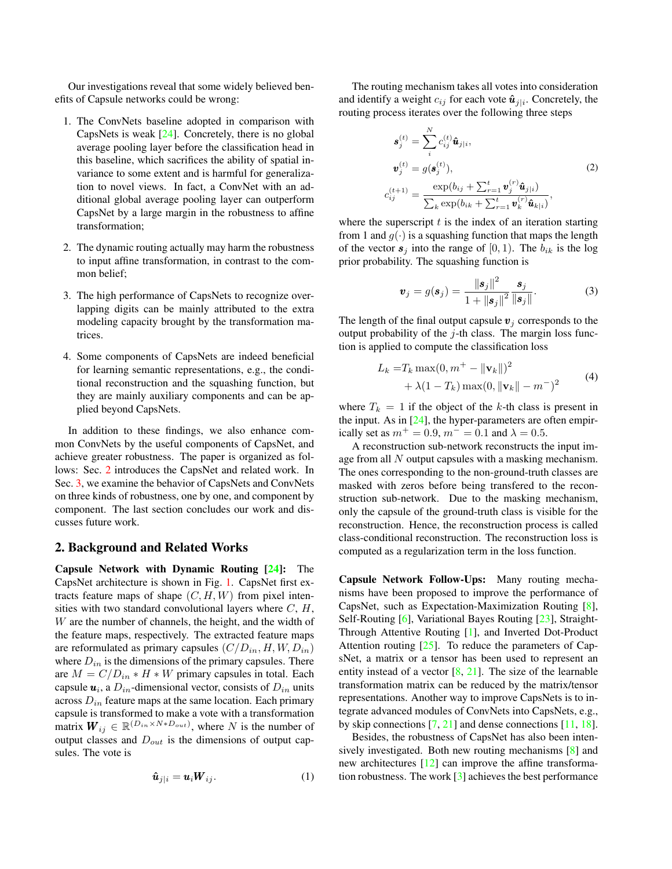Our investigations reveal that some widely believed benefits of Capsule networks could be wrong:

- 1. The ConvNets baseline adopted in comparison with CapsNets is weak [\[24\]](#page-8-0). Concretely, there is no global average pooling layer before the classification head in this baseline, which sacrifices the ability of spatial invariance to some extent and is harmful for generalization to novel views. In fact, a ConvNet with an additional global average pooling layer can outperform CapsNet by a large margin in the robustness to affine transformation;
- 2. The dynamic routing actually may harm the robustness to input affine transformation, in contrast to the common belief;
- 3. The high performance of CapsNets to recognize overlapping digits can be mainly attributed to the extra modeling capacity brought by the transformation matrices.
- 4. Some components of CapsNets are indeed beneficial for learning semantic representations, e.g., the conditional reconstruction and the squashing function, but they are mainly auxiliary components and can be applied beyond CapsNets.

In addition to these findings, we also enhance common ConvNets by the useful components of CapsNet, and achieve greater robustness. The paper is organized as follows: Sec. [2](#page-1-0) introduces the CapsNet and related work. In Sec. [3,](#page-2-1) we examine the behavior of CapsNets and ConvNets on three kinds of robustness, one by one, and component by component. The last section concludes our work and discusses future work.

## <span id="page-1-0"></span>2. Background and Related Works

Capsule Network with Dynamic Routing [\[24\]](#page-8-0): The CapsNet architecture is shown in Fig. [1.](#page-2-0) CapsNet first extracts feature maps of shape  $(C, H, W)$  from pixel intensities with two standard convolutional layers where  $C, H$ , W are the number of channels, the height, and the width of the feature maps, respectively. The extracted feature maps are reformulated as primary capsules  $(C/D_{in}, H, W, D_{in})$ where  $D_{in}$  is the dimensions of the primary capsules. There are  $M = C/D_{in} * H * W$  primary capsules in total. Each capsule  $u_i$ , a  $D_{in}$ -dimensional vector, consists of  $D_{in}$  units across  $D_{in}$  feature maps at the same location. Each primary capsule is transformed to make a vote with a transformation matrix  $W_{ij} \in \mathbb{R}^{(D_{in} \times N*D_{out})}$ , where N is the number of output classes and  $D_{out}$  is the dimensions of output capsules. The vote is

$$
\hat{\boldsymbol{u}}_{j|i} = \boldsymbol{u}_i \boldsymbol{W}_{ij}.
$$
 (1)

The routing mechanism takes all votes into consideration and identify a weight  $c_{ij}$  for each vote  $\hat{u}_{j|i}$ . Concretely, the routing process iterates over the following three steps

<span id="page-1-2"></span>
$$
\mathbf{s}_{j}^{(t)} = \sum_{i}^{N} c_{ij}^{(t)} \hat{\mathbf{u}}_{j|i},
$$
  
\n
$$
\mathbf{v}_{j}^{(t)} = g(\mathbf{s}_{j}^{(t)}),
$$
  
\n
$$
c_{ij}^{(t+1)} = \frac{\exp(b_{ij} + \sum_{r=1}^{t} \mathbf{v}_{j}^{(r)} \hat{\mathbf{u}}_{j|i})}{\sum_{k} \exp(b_{ik} + \sum_{r=1}^{t} \mathbf{v}_{k}^{(r)} \hat{\mathbf{u}}_{k|i})},
$$
\n(2)

where the superscript  $t$  is the index of an iteration starting from 1 and  $g(\cdot)$  is a squashing function that maps the length of the vector  $s_i$  into the range of  $[0, 1)$ . The  $b_{ik}$  is the log prior probability. The squashing function is

<span id="page-1-1"></span>
$$
\boldsymbol{v}_j = g(\boldsymbol{s}_j) = \frac{\|\boldsymbol{s}_j\|^2}{1 + \|\boldsymbol{s}_j\|^2} \frac{\boldsymbol{s}_j}{\|\boldsymbol{s}_j\|}.
$$
 (3)

The length of the final output capsule  $v_j$  corresponds to the output probability of the  $j$ -th class. The margin loss function is applied to compute the classification loss

$$
L_k = T_k \max(0, m^+ - ||\mathbf{v}_k||)^2
$$
  
+  $\lambda(1 - T_k) \max(0, ||\mathbf{v}_k|| - m^-)^2$  (4)

<span id="page-1-3"></span>where  $T_k = 1$  if the object of the k-th class is present in the input. As in [\[24\]](#page-8-0), the hyper-parameters are often empirically set as  $m^+ = 0.9$ ,  $m^- = 0.1$  and  $\lambda = 0.5$ .

A reconstruction sub-network reconstructs the input image from all N output capsules with a masking mechanism. The ones corresponding to the non-ground-truth classes are masked with zeros before being transfered to the reconstruction sub-network. Due to the masking mechanism, only the capsule of the ground-truth class is visible for the reconstruction. Hence, the reconstruction process is called class-conditional reconstruction. The reconstruction loss is computed as a regularization term in the loss function.

Capsule Network Follow-Ups: Many routing mechanisms have been proposed to improve the performance of CapsNet, such as Expectation-Maximization Routing [\[8\]](#page-8-2), Self-Routing [\[6\]](#page-8-8), Variational Bayes Routing [\[23\]](#page-8-9), Straight-Through Attentive Routing [\[1\]](#page-8-10), and Inverted Dot-Product Attention routing  $[25]$ . To reduce the parameters of CapsNet, a matrix or a tensor has been used to represent an entity instead of a vector  $[8, 21]$  $[8, 21]$  $[8, 21]$ . The size of the learnable transformation matrix can be reduced by the matrix/tensor representations. Another way to improve CapsNets is to integrate advanced modules of ConvNets into CapsNets, e.g., by skip connections  $[7, 21]$  $[7, 21]$  $[7, 21]$  and dense connections  $[11, 18]$  $[11, 18]$  $[11, 18]$ .

Besides, the robustness of CapsNet has also been intensively investigated. Both new routing mechanisms [\[8\]](#page-8-2) and new architectures [\[12\]](#page-8-15) can improve the affine transformation robustness. The work [\[3\]](#page-8-4) achieves the best performance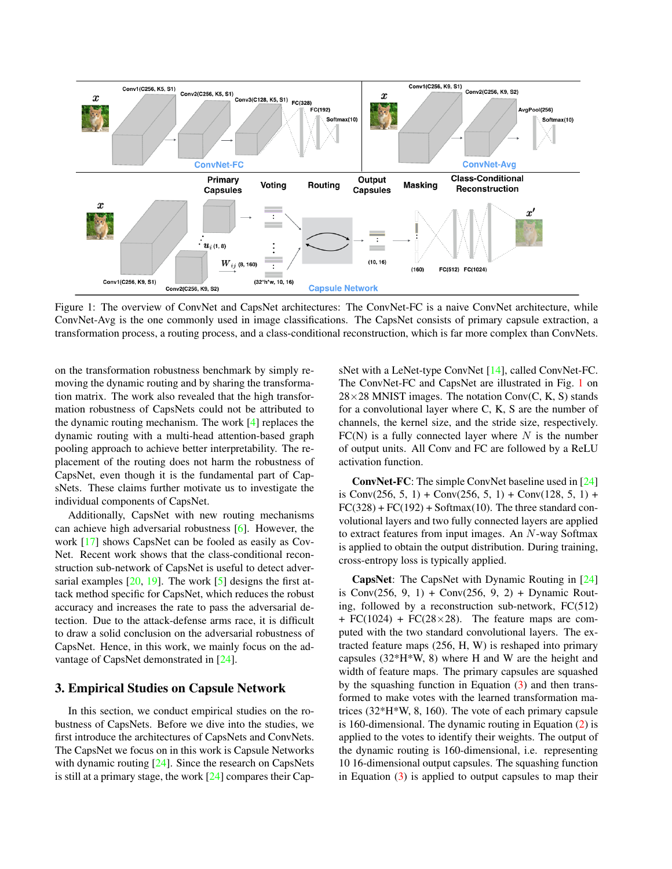<span id="page-2-0"></span>

Figure 1: The overview of ConvNet and CapsNet architectures: The ConvNet-FC is a naive ConvNet architecture, while ConvNet-Avg is the one commonly used in image classifications. The CapsNet consists of primary capsule extraction, a transformation process, a routing process, and a class-conditional reconstruction, which is far more complex than ConvNets.

on the transformation robustness benchmark by simply removing the dynamic routing and by sharing the transformation matrix. The work also revealed that the high transformation robustness of CapsNets could not be attributed to the dynamic routing mechanism. The work [\[4\]](#page-8-16) replaces the dynamic routing with a multi-head attention-based graph pooling approach to achieve better interpretability. The replacement of the routing does not harm the robustness of CapsNet, even though it is the fundamental part of CapsNets. These claims further motivate us to investigate the individual components of CapsNet.

Additionally, CapsNet with new routing mechanisms can achieve high adversarial robustness [\[6\]](#page-8-8). However, the work [\[17\]](#page-8-17) shows CapsNet can be fooled as easily as Cov-Net. Recent work shows that the class-conditional reconstruction sub-network of CapsNet is useful to detect adversarial examples  $[20, 19]$  $[20, 19]$  $[20, 19]$ . The work  $[5]$  designs the first attack method specific for CapsNet, which reduces the robust accuracy and increases the rate to pass the adversarial detection. Due to the attack-defense arms race, it is difficult to draw a solid conclusion on the adversarial robustness of CapsNet. Hence, in this work, we mainly focus on the advantage of CapsNet demonstrated in [\[24\]](#page-8-0).

#### <span id="page-2-1"></span>3. Empirical Studies on Capsule Network

In this section, we conduct empirical studies on the robustness of CapsNets. Before we dive into the studies, we first introduce the architectures of CapsNets and ConvNets. The CapsNet we focus on in this work is Capsule Networks with dynamic routing [\[24\]](#page-8-0). Since the research on CapsNets is still at a primary stage, the work [\[24\]](#page-8-0) compares their CapsNet with a LeNet-type ConvNet [\[14\]](#page-8-1), called ConvNet-FC. The ConvNet-FC and CapsNet are illustrated in Fig. [1](#page-2-0) on  $28\times28$  MNIST images. The notation Conv(C, K, S) stands for a convolutional layer where C, K, S are the number of channels, the kernel size, and the stride size, respectively.  $FC(N)$  is a fully connected layer where N is the number of output units. All Conv and FC are followed by a ReLU activation function.

ConvNet-FC: The simple ConvNet baseline used in [\[24\]](#page-8-0) is Conv $(256, 5, 1)$  + Conv $(256, 5, 1)$  + Conv $(128, 5, 1)$  +  $FC(328) + FC(192) + Softmax(10)$ . The three standard convolutional layers and two fully connected layers are applied to extract features from input images. An N-way Softmax is applied to obtain the output distribution. During training, cross-entropy loss is typically applied.

CapsNet: The CapsNet with Dynamic Routing in [\[24\]](#page-8-0) is Conv $(256, 9, 1)$  + Conv $(256, 9, 2)$  + Dynamic Routing, followed by a reconstruction sub-network,  $FC(512)$  $+ FC(1024) + FC(28 \times 28)$ . The feature maps are computed with the two standard convolutional layers. The extracted feature maps (256, H, W) is reshaped into primary capsules (32\*H\*W, 8) where H and W are the height and width of feature maps. The primary capsules are squashed by the squashing function in Equation  $(3)$  and then transformed to make votes with the learned transformation matrices (32\*H\*W, 8, 160). The vote of each primary capsule is 160-dimensional. The dynamic routing in Equation [\(2\)](#page-1-2) is applied to the votes to identify their weights. The output of the dynamic routing is 160-dimensional, i.e. representing 10 16-dimensional output capsules. The squashing function in Equation  $(3)$  is applied to output capsules to map their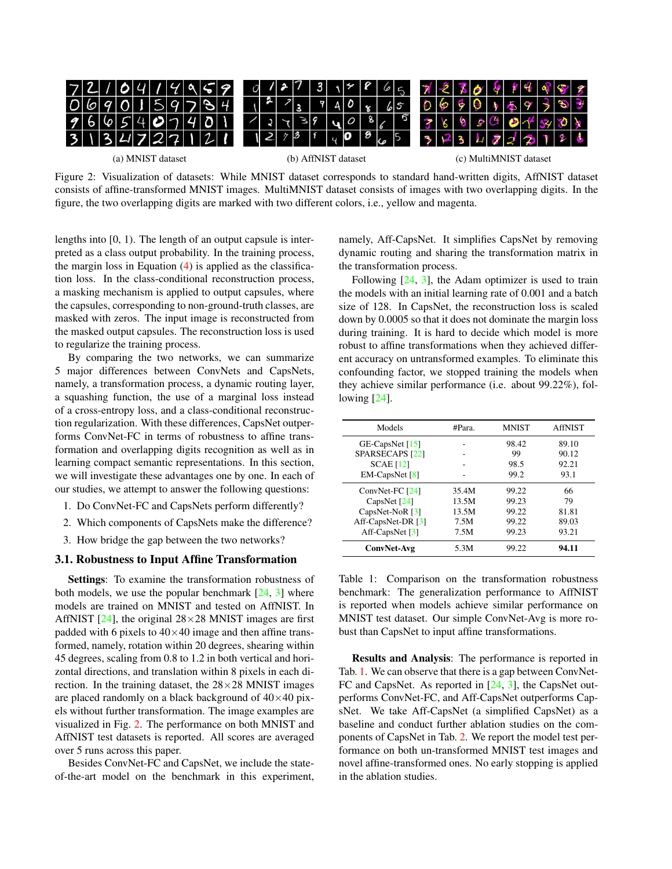<span id="page-3-0"></span>

| 72109719858       |  |  |  |  |  |  |  |                     |               |         |  |                         | $3 \times 865$ |            |                        |    | 7276919988                             |  |  |  |
|-------------------|--|--|--|--|--|--|--|---------------------|---------------|---------|--|-------------------------|----------------|------------|------------------------|----|----------------------------------------|--|--|--|
| 0690159784        |  |  |  |  |  |  |  |                     | $\frac{2}{3}$ |         |  | $940\frac{1}{8}65$      |                |            |                        |    | 069997593                              |  |  |  |
| 7667407401        |  |  |  |  |  |  |  |                     |               | 2273940 |  | 87                      |                |            | 36                     | ′⊗ | $S^{(1)} \otimes A' S^{(1)} \otimes A$ |  |  |  |
| 3 13 17 27 121    |  |  |  |  |  |  |  |                     |               |         |  | $ 2 73 $ $ 40 8$ $ 65 $ |                | 3231222126 |                        |    |                                        |  |  |  |
| (a) MNIST dataset |  |  |  |  |  |  |  | (b) AffNIST dataset |               |         |  |                         |                |            | (c) MultiMNIST dataset |    |                                        |  |  |  |

Figure 2: Visualization of datasets: While MNIST dataset corresponds to standard hand-written digits, AffNIST dataset consists of affine-transformed MNIST images. MultiMNIST dataset consists of images with two overlapping digits. In the figure, the two overlapping digits are marked with two different colors, i.e., yellow and magenta.

lengths into [0, 1). The length of an output capsule is interpreted as a class output probability. In the training process, the margin loss in Equation  $(4)$  is applied as the classification loss. In the class-conditional reconstruction process, a masking mechanism is applied to output capsules, where the capsules, corresponding to non-ground-truth classes, are masked with zeros. The input image is reconstructed from the masked output capsules. The reconstruction loss is used to regularize the training process.

By comparing the two networks, we can summarize 5 major differences between ConvNets and CapsNets, namely, a transformation process, a dynamic routing layer, a squashing function, the use of a marginal loss instead of a cross-entropy loss, and a class-conditional reconstruction regularization. With these differences, CapsNet outperforms ConvNet-FC in terms of robustness to affine transformation and overlapping digits recognition as well as in learning compact semantic representations. In this section, we will investigate these advantages one by one. In each of our studies, we attempt to answer the following questions:

- 1. Do ConvNet-FC and CapsNets perform differently?
- 2. Which components of CapsNets make the difference?
- 3. How bridge the gap between the two networks?

## <span id="page-3-2"></span>3.1. Robustness to Input Affine Transformation

Settings: To examine the transformation robustness of both models, we use the popular benchmark  $[24, 3]$  $[24, 3]$  $[24, 3]$  where models are trained on MNIST and tested on AffNIST. In AffNIST  $[24]$ , the original  $28\times28$  MNIST images are first padded with 6 pixels to  $40\times40$  image and then affine transformed, namely, rotation within 20 degrees, shearing within 45 degrees, scaling from 0.8 to 1.2 in both vertical and horizontal directions, and translation within 8 pixels in each direction. In the training dataset, the  $28\times28$  MNIST images are placed randomly on a black background of  $40\times40$  pixels without further transformation. The image examples are visualized in Fig. [2.](#page-3-0) The performance on both MNIST and AffNIST test datasets is reported. All scores are averaged over 5 runs across this paper.

Besides ConvNet-FC and CapsNet, we include the stateof-the-art model on the benchmark in this experiment, namely, Aff-CapsNet. It simplifies CapsNet by removing dynamic routing and sharing the transformation matrix in the transformation process.

Following  $[24, 3]$  $[24, 3]$  $[24, 3]$ , the Adam optimizer is used to train the models with an initial learning rate of 0.001 and a batch size of 128. In CapsNet, the reconstruction loss is scaled down by 0.0005 so that it does not dominate the margin loss during training. It is hard to decide which model is more robust to affine transformations when they achieved different accuracy on untransformed examples. To eliminate this confounding factor, we stopped training the models when they achieve similar performance (i.e. about 99.22%), following [\[24\]](#page-8-0).

<span id="page-3-1"></span>

| Models                        | #Para. | <b>MNIST</b> | <b>AffNIST</b> |
|-------------------------------|--------|--------------|----------------|
| GE-CapsNet $[15]$             |        | 98.42        | 89.10          |
| SPARSECAPS <sup>[22]</sup>    |        | 99           | 90.12          |
| <b>SCAE</b> [12]              |        | 98.5         | 92.21          |
| EM-CapsNet $[8]$              |        | 99.2         | 93.1           |
| ConvNet-FC [24]               | 35.4M  | 99.22        | 66             |
| CapsNet [24]                  | 13.5M  | 99.23        | 79             |
| CapsNet-NoR [3]               | 13.5M  | 99.22        | 81.81          |
| Aff-CapsNet-DR $[3]$          | 7.5M   | 99.22        | 89.03          |
| Aff-CapsNet $\lceil 3 \rceil$ | 7.5M   | 99.23        | 93.21          |
| ConvNet-Avg                   | 5.3M   | 99.22        | 94.11          |

Table 1: Comparison on the transformation robustness benchmark: The generalization performance to AffNIST is reported when models achieve similar performance on MNIST test dataset. Our simple ConvNet-Avg is more robust than CapsNet to input affine transformations.

Results and Analysis: The performance is reported in Tab. [1.](#page-3-1) We can observe that there is a gap between ConvNet-FC and CapsNet. As reported in [\[24,](#page-8-0) [3\]](#page-8-4), the CapsNet outperforms ConvNet-FC, and Aff-CapsNet outperforms CapsNet. We take Aff-CapsNet (a simplified CapsNet) as a baseline and conduct further ablation studies on the components of CapsNet in Tab. [2.](#page-4-0) We report the model test performance on both un-transformed MNIST test images and novel affine-transformed ones. No early stopping is applied in the ablation studies.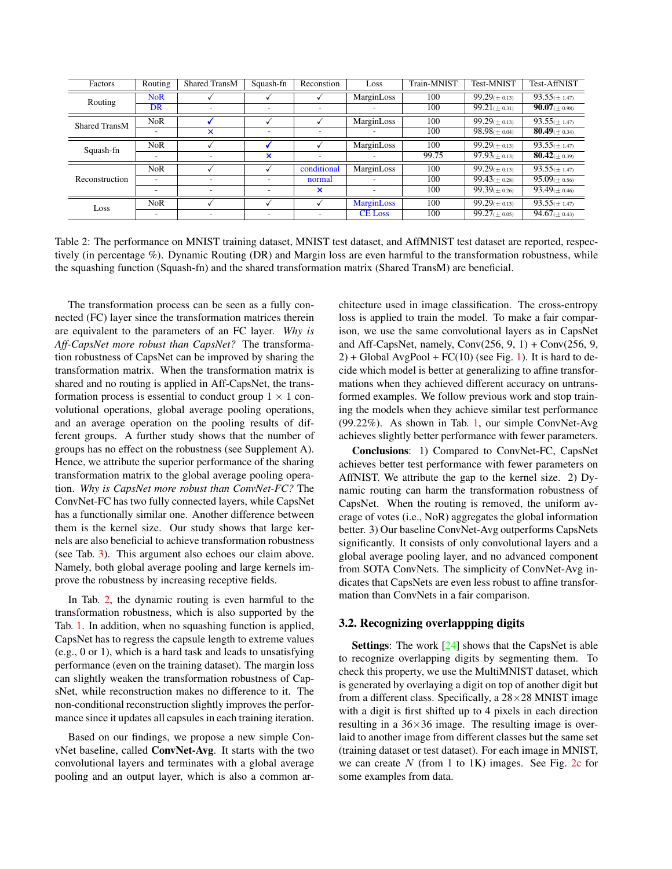<span id="page-4-0"></span>

| Factors              | Routing                  | <b>Shared TransM</b>     | Squash-fn | Reconstion  | Loss              | Train-MNIST | Test-MNIST          | <b>Test-AffNIST</b> |
|----------------------|--------------------------|--------------------------|-----------|-------------|-------------------|-------------|---------------------|---------------------|
| Routing              | <b>NoR</b>               |                          |           |             | MarginLoss        | 100         | $99.29(\pm 0.13)$   | $93.55 \times 1.47$ |
|                      | DR                       |                          |           | ۰           |                   | 100         | $99.21 \times 0.31$ | $90.07(\pm 0.98)$   |
| <b>Shared TransM</b> | <b>NoR</b>               |                          |           |             | MarginLoss        | 100         | $99.29(\pm 0.13)$   | $93.55 \times 1.47$ |
|                      |                          | ×                        | ۰         | -           | -                 | 100         | $98.98 \times 0.04$ | 80.49( $\pm$ 0.34)  |
| Squash-fn            | <b>NoR</b>               |                          |           |             | MarginLoss        | 100         | $99.29(\pm 0.13)$   | $93.55 \times 1.47$ |
|                      |                          | $\overline{\phantom{a}}$ | ×         | -           |                   | 99.75       | $97.93 \times 0.13$ | 80.42( $\pm$ 0.39)  |
|                      | <b>NoR</b>               |                          |           | conditional | MarginLoss        | 100         | $99.29(\pm 0.13)$   | $93.55(\pm 1.47)$   |
| Reconstruction       |                          |                          |           | normal      |                   | 100         | $99.43 \times 0.28$ | $95.09(\pm 0.56)$   |
|                      |                          | $\overline{\phantom{a}}$ | ۰         | ×           |                   | 100         | $99.39 \times 0.26$ | $93.49 \times 0.46$ |
| Loss                 | <b>NoR</b>               |                          |           |             | <b>MarginLoss</b> | 100         | $99.29(\pm 0.13)$   | $93.55 \times 1.47$ |
|                      | $\overline{\phantom{0}}$ | ۰                        | ٠         | ۰           | <b>CE</b> Loss    | 100         | $99.27(\pm 0.05)$   | $94.67(\pm 0.43)$   |

Table 2: The performance on MNIST training dataset, MNIST test dataset, and AffMNIST test dataset are reported, respectively (in percentage %). Dynamic Routing (DR) and Margin loss are even harmful to the transformation robustness, while the squashing function (Squash-fn) and the shared transformation matrix (Shared TransM) are beneficial.

The transformation process can be seen as a fully connected (FC) layer since the transformation matrices therein are equivalent to the parameters of an FC layer. *Why is Aff-CapsNet more robust than CapsNet?* The transformation robustness of CapsNet can be improved by sharing the transformation matrix. When the transformation matrix is shared and no routing is applied in Aff-CapsNet, the transformation process is essential to conduct group  $1 \times 1$  convolutional operations, global average pooling operations, and an average operation on the pooling results of different groups. A further study shows that the number of groups has no effect on the robustness (see Supplement A). Hence, we attribute the superior performance of the sharing transformation matrix to the global average pooling operation. *Why is CapsNet more robust than ConvNet-FC?* The ConvNet-FC has two fully connected layers, while CapsNet has a functionally similar one. Another difference between them is the kernel size. Our study shows that large kernels are also beneficial to achieve transformation robustness (see Tab. [3\)](#page-5-0). This argument also echoes our claim above. Namely, both global average pooling and large kernels improve the robustness by increasing receptive fields.

In Tab. [2,](#page-4-0) the dynamic routing is even harmful to the transformation robustness, which is also supported by the Tab. [1.](#page-3-1) In addition, when no squashing function is applied, CapsNet has to regress the capsule length to extreme values (e.g., 0 or 1), which is a hard task and leads to unsatisfying performance (even on the training dataset). The margin loss can slightly weaken the transformation robustness of CapsNet, while reconstruction makes no difference to it. The non-conditional reconstruction slightly improves the performance since it updates all capsules in each training iteration.

Based on our findings, we propose a new simple ConvNet baseline, called ConvNet-Avg. It starts with the two convolutional layers and terminates with a global average pooling and an output layer, which is also a common architecture used in image classification. The cross-entropy loss is applied to train the model. To make a fair comparison, we use the same convolutional layers as in CapsNet and Aff-CapsNet, namely, Conv $(256, 9, 1)$  + Conv $(256, 9, 1)$  $2$ ) + Global AvgPool + FC(10) (see Fig. [1\)](#page-2-0). It is hard to decide which model is better at generalizing to affine transformations when they achieved different accuracy on untransformed examples. We follow previous work and stop training the models when they achieve similar test performance (99.22%). As shown in Tab. [1,](#page-3-1) our simple ConvNet-Avg achieves slightly better performance with fewer parameters.

Conclusions: 1) Compared to ConvNet-FC, CapsNet achieves better test performance with fewer parameters on AffNIST. We attribute the gap to the kernel size. 2) Dynamic routing can harm the transformation robustness of CapsNet. When the routing is removed, the uniform average of votes (i.e., NoR) aggregates the global information better. 3) Our baseline ConvNet-Avg outperforms CapsNets significantly. It consists of only convolutional layers and a global average pooling layer, and no advanced component from SOTA ConvNets. The simplicity of ConvNet-Avg indicates that CapsNets are even less robust to affine transformation than ConvNets in a fair comparison.

#### 3.2. Recognizing overlappping digits

**Settings:** The work  $[24]$  shows that the CapsNet is able to recognize overlapping digits by segmenting them. To check this property, we use the MultiMNIST dataset, which is generated by overlaying a digit on top of another digit but from a different class. Specifically, a  $28\times28$  MNIST image with a digit is first shifted up to 4 pixels in each direction resulting in a  $36\times36$  image. The resulting image is overlaid to another image from different classes but the same set (training dataset or test dataset). For each image in MNIST, we can create  $N$  (from 1 to 1K) images. See Fig. [2c](#page-3-0) for some examples from data.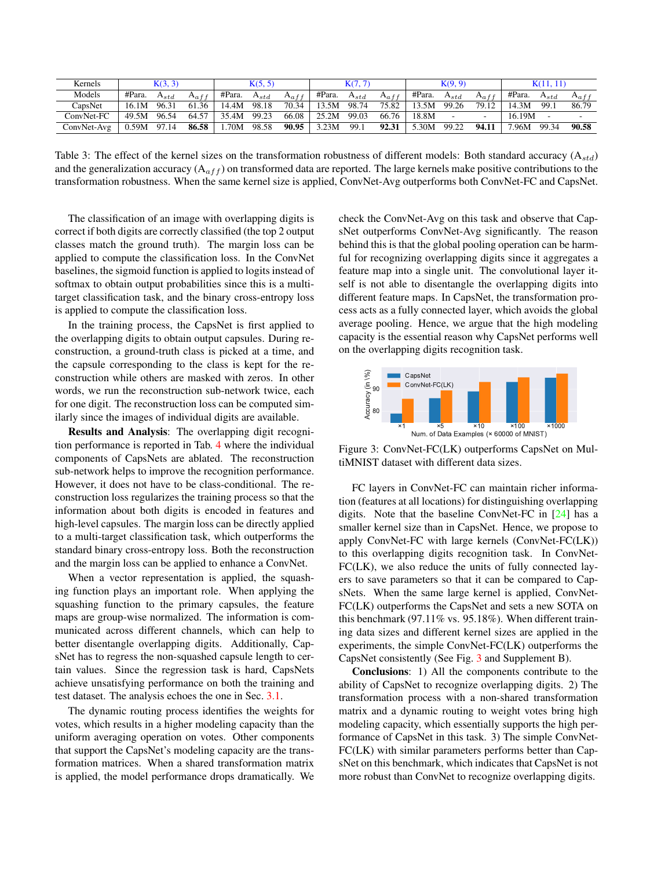<span id="page-5-0"></span>

| Kernels     |                                 | K(3, 3)   |             |             | K(5, 5)   |       |                              | K(7, 7) |           |                  | K(9, 9) |             |                  | K(11, 11) |                          |
|-------------|---------------------------------|-----------|-------------|-------------|-----------|-------|------------------------------|---------|-----------|------------------|---------|-------------|------------------|-----------|--------------------------|
| Models      | #Para.                          | $A_{std}$ | $A_{a,f,f}$ | #Para.      | $A_{std}$ |       | $A_{aff}$   #Para. $A_{std}$ |         | $A_{aff}$ | #Para. $A_{std}$ |         | $A_{a,f,f}$ | #Para. $A_{std}$ |           | $A_{a}$ ff               |
| CapsNet     | 16.1M 96.31                     |           | 61.36       | 14.4M       | 98.18     |       | 70.34   13.5M 98.74          |         | 75.82 l   | 13.5M 99.26      |         | 79.12       | 14.3M 99.1       |           | 86.79                    |
| ConvNet-FC  | 49.5M 96.54                     |           | 64.57       | 35.4M 99.23 |           |       | $66.08$   25.2M 99.03        |         | 66.76     | 18.8M            |         |             | 16.19M           |           | $\overline{\phantom{a}}$ |
| ConvNet-Avg | $\vert 0.59M \vert 97.14 \vert$ |           | 86.58       | 1.70M       | 98.58     | 90.95 | 3.23M                        | 99.1    | 92.31     | 5.30M            | 99.22   | 94.11       | 7.96M 99.34      |           | 90.58                    |

Table 3: The effect of the kernel sizes on the transformation robustness of different models: Both standard accuracy ( $A_{std}$ ) and the generalization accuracy  $(A_{aff})$  on transformed data are reported. The large kernels make positive contributions to the transformation robustness. When the same kernel size is applied, ConvNet-Avg outperforms both ConvNet-FC and CapsNet.

The classification of an image with overlapping digits is correct if both digits are correctly classified (the top 2 output classes match the ground truth). The margin loss can be applied to compute the classification loss. In the ConvNet baselines, the sigmoid function is applied to logits instead of softmax to obtain output probabilities since this is a multitarget classification task, and the binary cross-entropy loss is applied to compute the classification loss.

In the training process, the CapsNet is first applied to the overlapping digits to obtain output capsules. During reconstruction, a ground-truth class is picked at a time, and the capsule corresponding to the class is kept for the reconstruction while others are masked with zeros. In other words, we run the reconstruction sub-network twice, each for one digit. The reconstruction loss can be computed similarly since the images of individual digits are available.

Results and Analysis: The overlapping digit recognition performance is reported in Tab. [4](#page-6-0) where the individual components of CapsNets are ablated. The reconstruction sub-network helps to improve the recognition performance. However, it does not have to be class-conditional. The reconstruction loss regularizes the training process so that the information about both digits is encoded in features and high-level capsules. The margin loss can be directly applied to a multi-target classification task, which outperforms the standard binary cross-entropy loss. Both the reconstruction and the margin loss can be applied to enhance a ConvNet.

When a vector representation is applied, the squashing function plays an important role. When applying the squashing function to the primary capsules, the feature maps are group-wise normalized. The information is communicated across different channels, which can help to better disentangle overlapping digits. Additionally, CapsNet has to regress the non-squashed capsule length to certain values. Since the regression task is hard, CapsNets achieve unsatisfying performance on both the training and test dataset. The analysis echoes the one in Sec. [3.1.](#page-3-2)

The dynamic routing process identifies the weights for votes, which results in a higher modeling capacity than the uniform averaging operation on votes. Other components that support the CapsNet's modeling capacity are the transformation matrices. When a shared transformation matrix is applied, the model performance drops dramatically. We check the ConvNet-Avg on this task and observe that CapsNet outperforms ConvNet-Avg significantly. The reason behind this is that the global pooling operation can be harmful for recognizing overlapping digits since it aggregates a feature map into a single unit. The convolutional layer itself is not able to disentangle the overlapping digits into different feature maps. In CapsNet, the transformation process acts as a fully connected layer, which avoids the global average pooling. Hence, we argue that the high modeling capacity is the essential reason why CapsNet performs well on the overlapping digits recognition task.

<span id="page-5-1"></span>

Figure 3: ConvNet-FC(LK) outperforms CapsNet on MultiMNIST dataset with different data sizes.

FC layers in ConvNet-FC can maintain richer information (features at all locations) for distinguishing overlapping digits. Note that the baseline ConvNet-FC in [\[24\]](#page-8-0) has a smaller kernel size than in CapsNet. Hence, we propose to apply ConvNet-FC with large kernels (ConvNet-FC(LK)) to this overlapping digits recognition task. In ConvNet-FC(LK), we also reduce the units of fully connected layers to save parameters so that it can be compared to CapsNets. When the same large kernel is applied, ConvNet-FC(LK) outperforms the CapsNet and sets a new SOTA on this benchmark (97.11% vs. 95.18%). When different training data sizes and different kernel sizes are applied in the experiments, the simple ConvNet-FC(LK) outperforms the CapsNet consistently (See Fig. [3](#page-5-1) and Supplement B).

Conclusions: 1) All the components contribute to the ability of CapsNet to recognize overlapping digits. 2) The transformation process with a non-shared transformation matrix and a dynamic routing to weight votes bring high modeling capacity, which essentially supports the high performance of CapsNet in this task. 3) The simple ConvNet-FC(LK) with similar parameters performs better than CapsNet on this benchmark, which indicates that CapsNet is not more robust than ConvNet to recognize overlapping digits.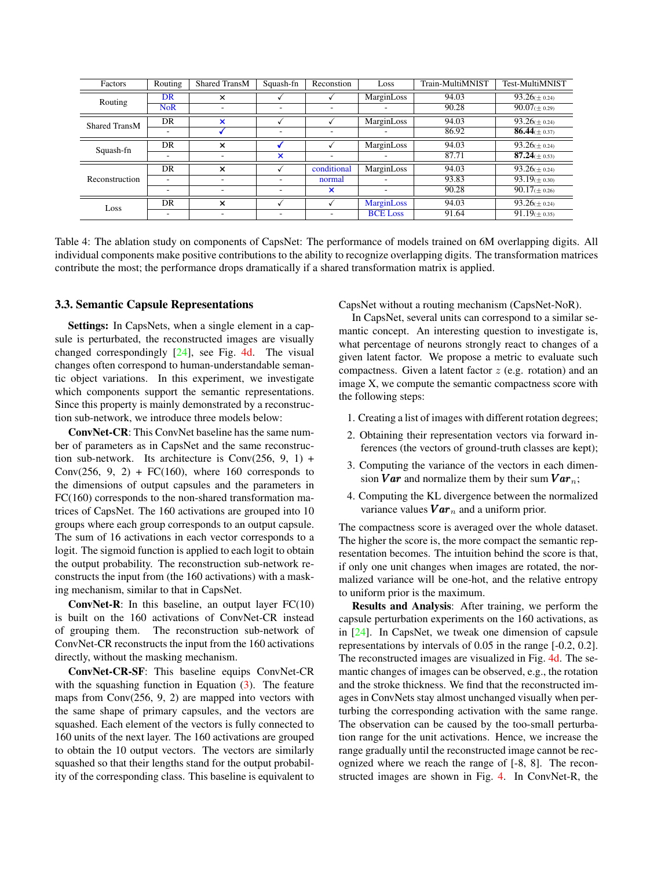<span id="page-6-0"></span>

| Factors        | Routing                  | Shared TransM             | Squash-fn                | Reconstion  | Loss              | Train-MultiMNIST | Test-MultiMNIST             |
|----------------|--------------------------|---------------------------|--------------------------|-------------|-------------------|------------------|-----------------------------|
| Routing        | DR                       | $\times$                  |                          |             | MarginLoss        | 94.03            | $93.26 \times 0.24$         |
|                | <b>NoR</b>               | $\overline{\phantom{a}}$  | $\overline{\phantom{0}}$ | ۰           | ۰                 | 90.28            | $90.07(\pm 0.29)$           |
| Shared TransM  | DR                       | $\boldsymbol{\mathsf{x}}$ |                          |             | MarginLoss        | 94.03            | $93.26(\pm 0.24)$           |
|                | ۰                        |                           | $\overline{\phantom{a}}$ | -           | ۰                 | 86.92            | 86.44( $\pm$ 0.37)          |
| Squash-fn      | DR                       | $\times$                  |                          |             | MarginLoss        | 94.03            | $93.26 \times 0.24$         |
|                | -                        | ۰                         | ×                        | -           | ۰                 | 87.71            | $\overline{87.24}$ (± 0.53) |
|                | <b>DR</b>                | $\times$                  |                          | conditional | MarginLoss        | 94.03            | $93.26 \times 0.24$         |
| Reconstruction | $\overline{\phantom{a}}$ |                           | ۰                        | normal      | ۰                 | 93.83            | $93.19(\pm 0.30)$           |
|                | -                        |                           | $\overline{\phantom{a}}$ | ×           | ۰.                | 90.28            | $90.17 \times 0.26$         |
| Loss           | DR                       | $\times$                  |                          |             | <b>MarginLoss</b> | 94.03            | $93.26 \times 0.24$         |
|                | $\overline{\phantom{a}}$ | -                         | $\overline{\phantom{0}}$ | -           | <b>BCE Loss</b>   | 91.64            | $91.19 \times 0.35$         |

Table 4: The ablation study on components of CapsNet: The performance of models trained on 6M overlapping digits. All individual components make positive contributions to the ability to recognize overlapping digits. The transformation matrices contribute the most; the performance drops dramatically if a shared transformation matrix is applied.

#### 3.3. Semantic Capsule Representations

Settings: In CapsNets, when a single element in a capsule is perturbated, the reconstructed images are visually changed correspondingly [\[24\]](#page-8-0), see Fig. [4d.](#page-7-0) The visual changes often correspond to human-understandable semantic object variations. In this experiment, we investigate which components support the semantic representations. Since this property is mainly demonstrated by a reconstruction sub-network, we introduce three models below:

ConvNet-CR: This ConvNet baseline has the same number of parameters as in CapsNet and the same reconstruction sub-network. Its architecture is  $Conv(256, 9, 1) +$ Conv $(256, 9, 2)$  + FC $(160)$ , where 160 corresponds to the dimensions of output capsules and the parameters in FC(160) corresponds to the non-shared transformation matrices of CapsNet. The 160 activations are grouped into 10 groups where each group corresponds to an output capsule. The sum of 16 activations in each vector corresponds to a logit. The sigmoid function is applied to each logit to obtain the output probability. The reconstruction sub-network reconstructs the input from (the 160 activations) with a masking mechanism, similar to that in CapsNet.

**ConvNet-R:** In this baseline, an output layer  $FC(10)$ is built on the 160 activations of ConvNet-CR instead of grouping them. The reconstruction sub-network of ConvNet-CR reconstructs the input from the 160 activations directly, without the masking mechanism.

ConvNet-CR-SF: This baseline equips ConvNet-CR with the squashing function in Equation  $(3)$ . The feature maps from Conv(256, 9, 2) are mapped into vectors with the same shape of primary capsules, and the vectors are squashed. Each element of the vectors is fully connected to 160 units of the next layer. The 160 activations are grouped to obtain the 10 output vectors. The vectors are similarly squashed so that their lengths stand for the output probability of the corresponding class. This baseline is equivalent to CapsNet without a routing mechanism (CapsNet-NoR).

In CapsNet, several units can correspond to a similar semantic concept. An interesting question to investigate is, what percentage of neurons strongly react to changes of a given latent factor. We propose a metric to evaluate such compactness. Given a latent factor  $z$  (e.g. rotation) and an image X, we compute the semantic compactness score with the following steps:

- 1. Creating a list of images with different rotation degrees;
- 2. Obtaining their representation vectors via forward inferences (the vectors of ground-truth classes are kept);
- 3. Computing the variance of the vectors in each dimension **Var** and normalize them by their sum  $Var_n$ ;
- 4. Computing the KL divergence between the normalized variance values  $Var_n$  and a uniform prior.

The compactness score is averaged over the whole dataset. The higher the score is, the more compact the semantic representation becomes. The intuition behind the score is that, if only one unit changes when images are rotated, the normalized variance will be one-hot, and the relative entropy to uniform prior is the maximum.

Results and Analysis: After training, we perform the capsule perturbation experiments on the 160 activations, as in [\[24\]](#page-8-0). In CapsNet, we tweak one dimension of capsule representations by intervals of 0.05 in the range [-0.2, 0.2]. The reconstructed images are visualized in Fig. [4d.](#page-7-0) The semantic changes of images can be observed, e.g., the rotation and the stroke thickness. We find that the reconstructed images in ConvNets stay almost unchanged visually when perturbing the corresponding activation with the same range. The observation can be caused by the too-small perturbation range for the unit activations. Hence, we increase the range gradually until the reconstructed image cannot be recognized where we reach the range of [-8, 8]. The reconstructed images are shown in Fig. [4.](#page-7-0) In ConvNet-R, the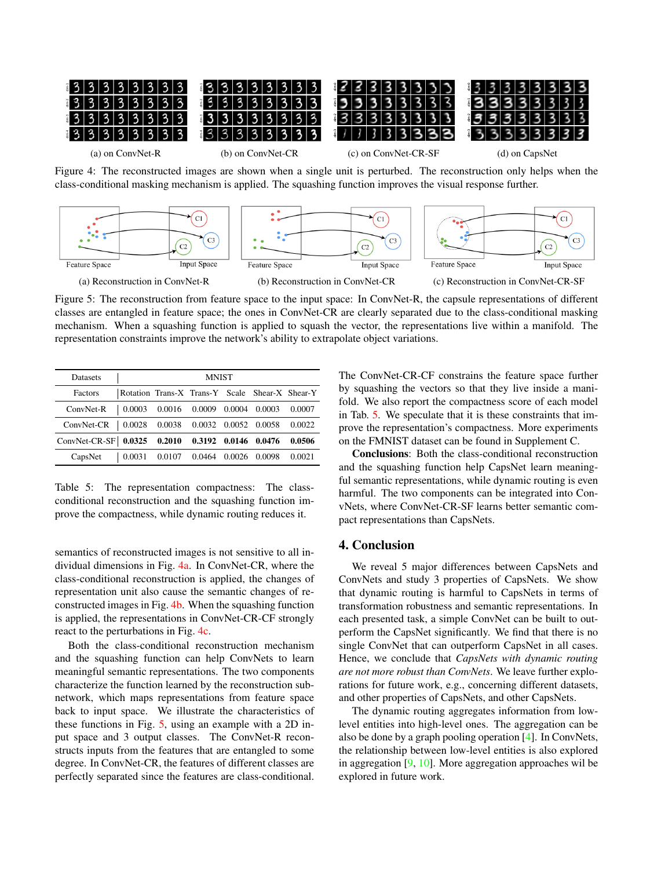<span id="page-7-0"></span>

class-conditional masking mechanism is applied. The squashing function improves the visual response further.

<span id="page-7-1"></span>

Figure 5: The reconstruction from feature space to the input space: In ConvNet-R, the capsule representations of different classes are entangled in feature space; the ones in ConvNet-CR are clearly separated due to the class-conditional masking mechanism. When a squashing function is applied to squash the vector, the representations live within a manifold. The representation constraints improve the network's ability to extrapolate object variations.

<span id="page-7-2"></span>

| <b>Datasets</b>                                        |                                                                          | <b>MNIST</b> |  |        |
|--------------------------------------------------------|--------------------------------------------------------------------------|--------------|--|--------|
| Factors                                                | Rotation Trans-X Trans-Y Scale Shear-X Shear-Y                           |              |  |        |
| ConvNet-R   0.0003 0.0016 0.0009 0.0004 0.0003 0.0007  |                                                                          |              |  |        |
| ConvNet-CR   0.0028 0.0038 0.0032 0.0052 0.0058 0.0022 |                                                                          |              |  |        |
| ConvNet-CR-SF 0.0325 0.2010 0.3192 0.0146 0.0476       |                                                                          |              |  | 0.0506 |
| CapsNet                                                | $\vert 0.0031 \vert 0.0107 \vert 0.0464 \vert 0.0026 \vert 0.0098 \vert$ |              |  | 0.0021 |

Table 5: The representation compactness: The classconditional reconstruction and the squashing function improve the compactness, while dynamic routing reduces it.

semantics of reconstructed images is not sensitive to all individual dimensions in Fig. [4a.](#page-7-0) In ConvNet-CR, where the class-conditional reconstruction is applied, the changes of representation unit also cause the semantic changes of reconstructed images in Fig. [4b.](#page-7-0) When the squashing function is applied, the representations in ConvNet-CR-CF strongly react to the perturbations in Fig. [4c.](#page-7-0)

Both the class-conditional reconstruction mechanism and the squashing function can help ConvNets to learn meaningful semantic representations. The two components characterize the function learned by the reconstruction subnetwork, which maps representations from feature space back to input space. We illustrate the characteristics of these functions in Fig. [5,](#page-7-1) using an example with a 2D input space and 3 output classes. The ConvNet-R reconstructs inputs from the features that are entangled to some degree. In ConvNet-CR, the features of different classes are perfectly separated since the features are class-conditional.

The ConvNet-CR-CF constrains the feature space further by squashing the vectors so that they live inside a manifold. We also report the compactness score of each model in Tab. [5.](#page-7-2) We speculate that it is these constraints that improve the representation's compactness. More experiments on the FMNIST dataset can be found in Supplement C.

Conclusions: Both the class-conditional reconstruction and the squashing function help CapsNet learn meaningful semantic representations, while dynamic routing is even harmful. The two components can be integrated into ConvNets, where ConvNet-CR-SF learns better semantic compact representations than CapsNets.

### 4. Conclusion

We reveal 5 major differences between CapsNets and ConvNets and study 3 properties of CapsNets. We show that dynamic routing is harmful to CapsNets in terms of transformation robustness and semantic representations. In each presented task, a simple ConvNet can be built to outperform the CapsNet significantly. We find that there is no single ConvNet that can outperform CapsNet in all cases. Hence, we conclude that *CapsNets with dynamic routing are not more robust than ConvNets*. We leave further explorations for future work, e.g., concerning different datasets, and other properties of CapsNets, and other CapsNets.

The dynamic routing aggregates information from lowlevel entities into high-level ones. The aggregation can be also be done by a graph pooling operation [\[4\]](#page-8-16). In ConvNets, the relationship between low-level entities is also explored in aggregation [\[9,](#page-8-23) [10\]](#page-8-24). More aggregation approaches wil be explored in future work.